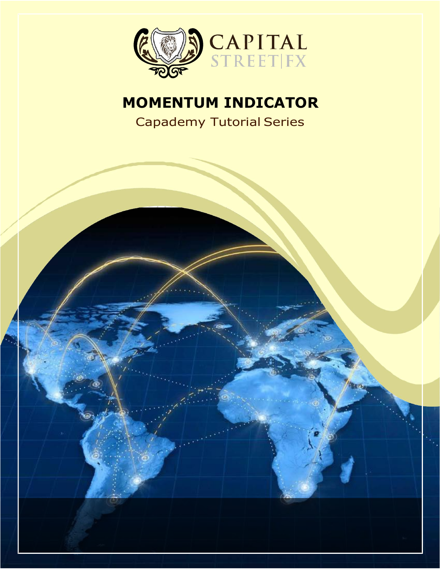

# **MOMENTUM INDICATOR**

Capademy Tutorial Series

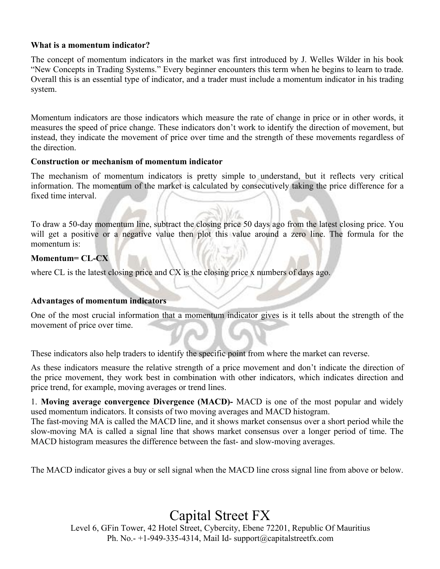## **What is a momentum indicator?**

The concept of momentum indicators in the market was first introduced by J. Welles Wilder in his book "New Concepts in Trading Systems." Every beginner encounters this term when he begins to learn to trade. Overall this is an essential type of indicator, and a trader must include a momentum indicator in his trading system.

Momentum indicators are those indicators which measure the rate of change in price or in other words, it measures the speed of price change. These indicators don't work to identify the direction of movement, but instead, they indicate the movement of price over time and the strength of these movements regardless of the direction.

## **Construction or mechanism of momentum indicator**

The mechanism of momentum indicators is pretty simple to understand, but it reflects very critical information. The momentum of the market is calculated by consecutively taking the price difference for a fixed time interval.

To draw a 50-day momentum line, subtract the closing price 50 days ago from the latest closing price. You will get a positive or a negative value then plot this value around a zero line. The formula for the momentum is:

# **Momentum= CL-CX**

where CL is the latest closing price and  $CX$  is the closing price x numbers of days ago.

#### Advantages of momentum indicators

One of the most crucial information that a momentum indicator gives is it tells about the strength of the movement of price over time.

These indicators also help traders to identify the specific point from where the market can reverse.

As these indicators measure the relative strength of a price movement and don't indicate the direction of the price movement, they work best in combination with other indicators, which indicates direction and price trend, for example, moving averages or trend lines.

1. **Moving average convergence Divergence (MACD)-** MACD is one of the most popular and widely used momentum indicators. It consists of two moving averages and MACD histogram.

The fast-moving MA is called the MACD line, and it shows market consensus over a short period while the slow-moving MA is called a signal line that shows market consensus over a longer period of time. The MACD histogram measures the difference between the fast- and slow-moving averages.

The MACD indicator gives a buy or sell signal when the MACD line cross signal line from above or below.

Capital Street FX

Level 6, GFin Tower, 42 Hotel Street, Cybercity, Ebene 72201, Republic Of Mauritius Ph. No.-  $+1-949-335-4314$ , Mail Id- [support@capitalstreetfx.com](mailto:support@capitalstreetfx.com)